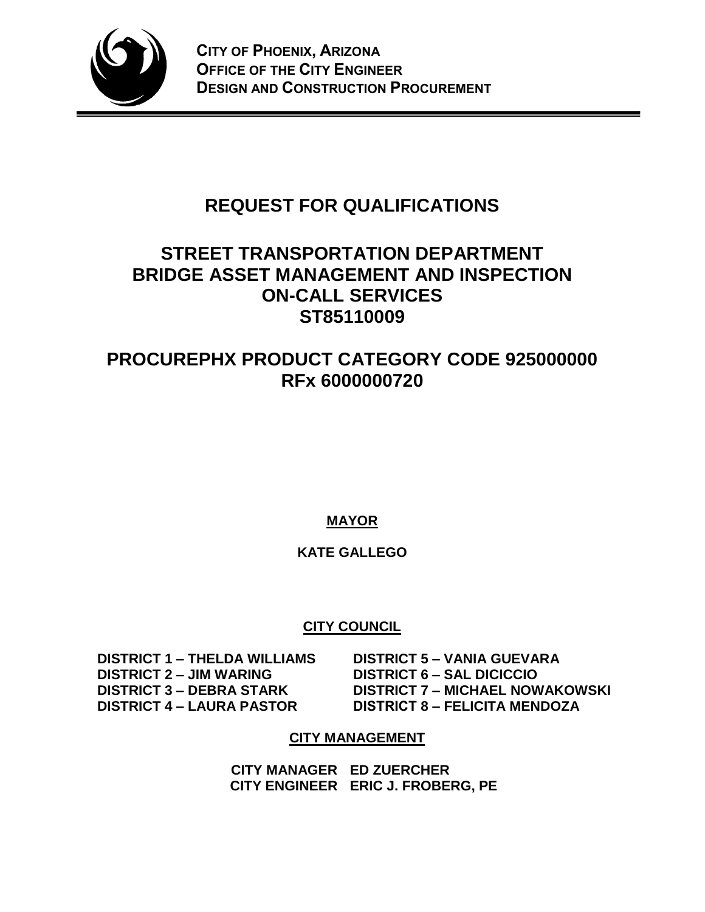

# **REQUEST FOR QUALIFICATIONS**

# **STREET TRANSPORTATION DEPARTMENT BRIDGE ASSET MANAGEMENT AND INSPECTION ON-CALL SERVICES ST85110009**

# **PROCUREPHX PRODUCT CATEGORY CODE 925000000 RFx 6000000720**

**MAYOR**

# **KATE GALLEGO**

# **CITY COUNCIL**

 **DISTRICT 1 – THELDA WILLIAMS DISTRICT 5 – VANIA GUEVARA**

 **DISTRICT 2 – JIM WARING DISTRICT 6 – SAL DICICCIO DISTRICT 3 – DEBRA STARK DISTRICT 7 – MICHAEL NOWAKOWSKI DISTRICT 4 – LAURA PASTOR DISTRICT 8 – FELICITA MENDOZA**

## **CITY MANAGEMENT**

**CITY MANAGER ED ZUERCHER CITY ENGINEER ERIC J. FROBERG, PE**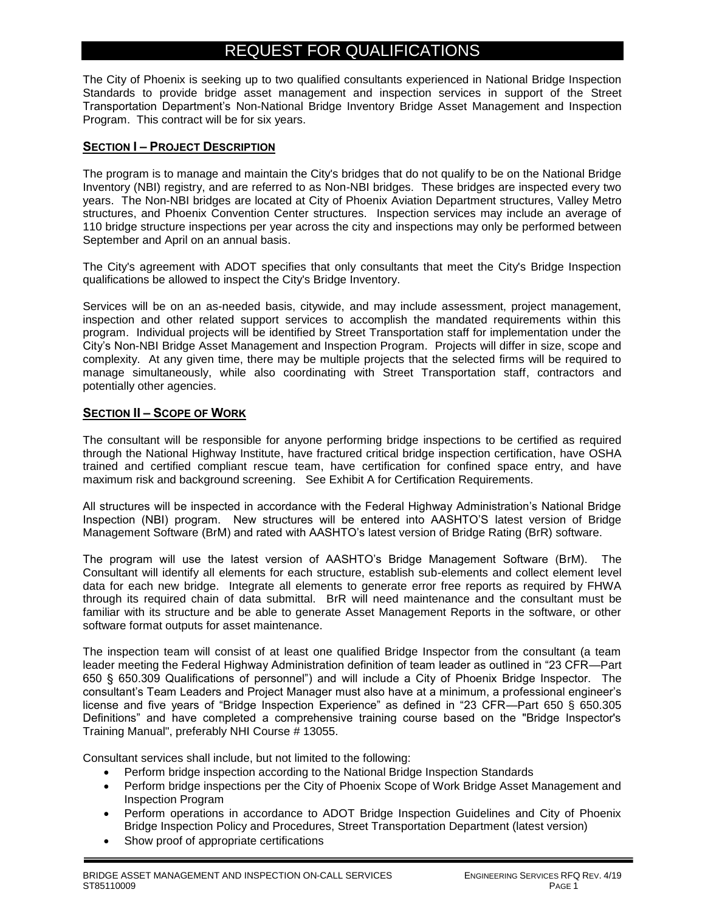# REQUEST FOR QUALIFICATIONS

The City of Phoenix is seeking up to two qualified consultants experienced in National Bridge Inspection Standards to provide bridge asset management and inspection services in support of the Street Transportation Department's Non-National Bridge Inventory Bridge Asset Management and Inspection Program. This contract will be for six years.

#### **SECTION I – PROJECT DESCRIPTION**

The program is to manage and maintain the City's bridges that do not qualify to be on the National Bridge Inventory (NBI) registry, and are referred to as Non-NBI bridges. These bridges are inspected every two years. The Non-NBI bridges are located at City of Phoenix Aviation Department structures, Valley Metro structures, and Phoenix Convention Center structures. Inspection services may include an average of 110 bridge structure inspections per year across the city and inspections may only be performed between September and April on an annual basis.

The City's agreement with ADOT specifies that only consultants that meet the City's Bridge Inspection qualifications be allowed to inspect the City's Bridge Inventory.

Services will be on an as-needed basis, citywide, and may include assessment, project management, inspection and other related support services to accomplish the mandated requirements within this program. Individual projects will be identified by Street Transportation staff for implementation under the City's Non-NBI Bridge Asset Management and Inspection Program. Projects will differ in size, scope and complexity. At any given time, there may be multiple projects that the selected firms will be required to manage simultaneously, while also coordinating with Street Transportation staff, contractors and potentially other agencies.

#### **SECTION II – SCOPE OF WORK**

The consultant will be responsible for anyone performing bridge inspections to be certified as required through the National Highway Institute, have fractured critical bridge inspection certification, have OSHA trained and certified compliant rescue team, have certification for confined space entry, and have maximum risk and background screening. See Exhibit A for Certification Requirements.

All structures will be inspected in accordance with the Federal Highway Administration's National Bridge Inspection (NBI) program. New structures will be entered into AASHTO'S latest version of Bridge Management Software (BrM) and rated with AASHTO's latest version of Bridge Rating (BrR) software.

The program will use the latest version of AASHTO's Bridge Management Software (BrM). The Consultant will identify all elements for each structure, establish sub-elements and collect element level data for each new bridge. Integrate all elements to generate error free reports as required by FHWA through its required chain of data submittal. BrR will need maintenance and the consultant must be familiar with its structure and be able to generate Asset Management Reports in the software, or other software format outputs for asset maintenance.

The inspection team will consist of at least one qualified Bridge Inspector from the consultant (a team leader meeting the Federal Highway Administration definition of team leader as outlined in "23 CFR—Part 650 § 650.309 Qualifications of personnel") and will include a City of Phoenix Bridge Inspector. The consultant's Team Leaders and Project Manager must also have at a minimum, a professional engineer's license and five years of "Bridge Inspection Experience" as defined in "23 CFR—Part 650 § 650.305 Definitions" and have completed a comprehensive training course based on the "Bridge Inspector's Training Manual", preferably NHI Course # 13055.

Consultant services shall include, but not limited to the following:

- Perform bridge inspection according to the National Bridge Inspection Standards
- Perform bridge inspections per the City of Phoenix Scope of Work Bridge Asset Management and Inspection Program
- Perform operations in accordance to ADOT Bridge Inspection Guidelines and City of Phoenix Bridge Inspection Policy and Procedures, Street Transportation Department (latest version)
- Show proof of appropriate certifications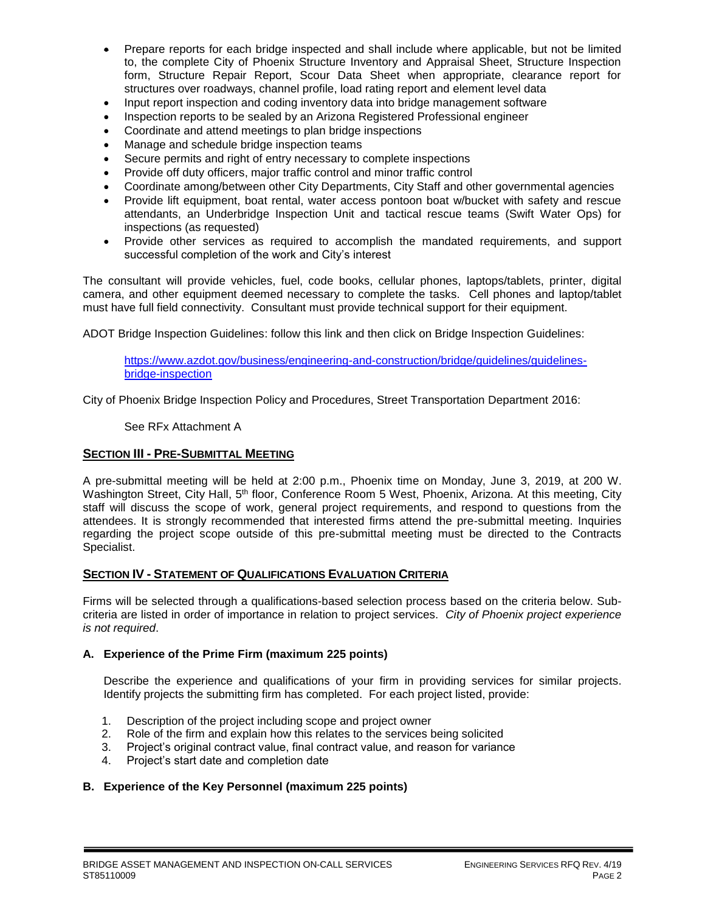- Prepare reports for each bridge inspected and shall include where applicable, but not be limited to, the complete City of Phoenix Structure Inventory and Appraisal Sheet, Structure Inspection form, Structure Repair Report, Scour Data Sheet when appropriate, clearance report for structures over roadways, channel profile, load rating report and element level data
- Input report inspection and coding inventory data into bridge management software
- Inspection reports to be sealed by an Arizona Registered Professional engineer
- Coordinate and attend meetings to plan bridge inspections
- Manage and schedule bridge inspection teams
- Secure permits and right of entry necessary to complete inspections
- Provide off duty officers, major traffic control and minor traffic control
- Coordinate among/between other City Departments, City Staff and other governmental agencies
- Provide lift equipment, boat rental, water access pontoon boat w/bucket with safety and rescue attendants, an Underbridge Inspection Unit and tactical rescue teams (Swift Water Ops) for inspections (as requested)
- Provide other services as required to accomplish the mandated requirements, and support successful completion of the work and City's interest

The consultant will provide vehicles, fuel, code books, cellular phones, laptops/tablets, printer, digital camera, and other equipment deemed necessary to complete the tasks. Cell phones and laptop/tablet must have full field connectivity. Consultant must provide technical support for their equipment.

ADOT Bridge Inspection Guidelines: follow this link and then click on Bridge Inspection Guidelines:

[https://www.azdot.gov/business/engineering-and-construction/bridge/guidelines/guidelines](https://www.azdot.gov/business/engineering-and-construction/bridge/guidelines/guidelines-bridge-inspection)[bridge-inspection](https://www.azdot.gov/business/engineering-and-construction/bridge/guidelines/guidelines-bridge-inspection)

City of Phoenix Bridge Inspection Policy and Procedures, Street Transportation Department 2016:

See RFx Attachment A

#### **SECTION III - PRE-SUBMITTAL MEETING**

A pre-submittal meeting will be held at 2:00 p.m., Phoenix time on Monday, June 3, 2019, at 200 W. Washington Street, City Hall, 5<sup>th</sup> floor, Conference Room 5 West, Phoenix, Arizona. At this meeting, City staff will discuss the scope of work, general project requirements, and respond to questions from the attendees. It is strongly recommended that interested firms attend the pre-submittal meeting. Inquiries regarding the project scope outside of this pre-submittal meeting must be directed to the Contracts Specialist.

#### **SECTION IV - STATEMENT OF QUALIFICATIONS EVALUATION CRITERIA**

Firms will be selected through a qualifications-based selection process based on the criteria below. Subcriteria are listed in order of importance in relation to project services. *City of Phoenix project experience is not required*.

#### **A. Experience of the Prime Firm (maximum 225 points)**

Describe the experience and qualifications of your firm in providing services for similar projects. Identify projects the submitting firm has completed. For each project listed, provide:

- 1. Description of the project including scope and project owner
- 2. Role of the firm and explain how this relates to the services being solicited
- 3. Project's original contract value, final contract value, and reason for variance
- 4. Project's start date and completion date

#### **B. Experience of the Key Personnel (maximum 225 points)**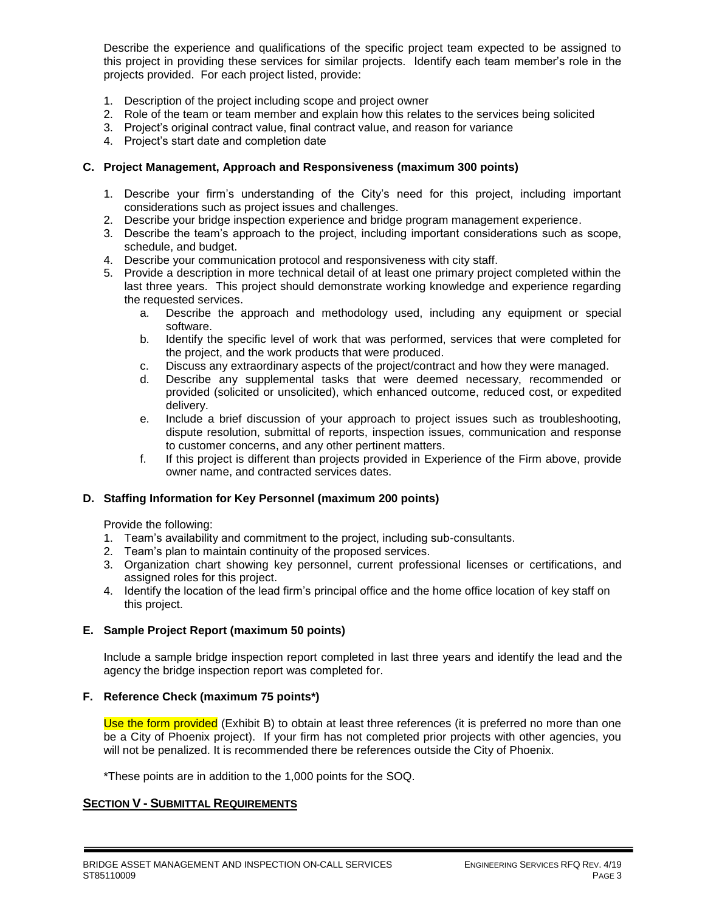Describe the experience and qualifications of the specific project team expected to be assigned to this project in providing these services for similar projects. Identify each team member's role in the projects provided. For each project listed, provide:

- 1. Description of the project including scope and project owner
- 2. Role of the team or team member and explain how this relates to the services being solicited
- 3. Project's original contract value, final contract value, and reason for variance
- 4. Project's start date and completion date

#### **C. Project Management, Approach and Responsiveness (maximum 300 points)**

- 1. Describe your firm's understanding of the City's need for this project, including important considerations such as project issues and challenges.
- 2. Describe your bridge inspection experience and bridge program management experience.
- 3. Describe the team's approach to the project, including important considerations such as scope, schedule, and budget.
- 4. Describe your communication protocol and responsiveness with city staff.
- 5. Provide a description in more technical detail of at least one primary project completed within the last three years. This project should demonstrate working knowledge and experience regarding the requested services.
	- a. Describe the approach and methodology used, including any equipment or special software.
	- b. Identify the specific level of work that was performed, services that were completed for the project, and the work products that were produced.
	- c. Discuss any extraordinary aspects of the project/contract and how they were managed.
	- d. Describe any supplemental tasks that were deemed necessary, recommended or provided (solicited or unsolicited), which enhanced outcome, reduced cost, or expedited delivery.
	- e. Include a brief discussion of your approach to project issues such as troubleshooting, dispute resolution, submittal of reports, inspection issues, communication and response to customer concerns, and any other pertinent matters.
	- f. If this project is different than projects provided in Experience of the Firm above, provide owner name, and contracted services dates.

#### **D. Staffing Information for Key Personnel (maximum 200 points)**

Provide the following:

- 1. Team's availability and commitment to the project, including sub-consultants.
- 2. Team's plan to maintain continuity of the proposed services.
- 3. Organization chart showing key personnel, current professional licenses or certifications, and assigned roles for this project.
- 4. Identify the location of the lead firm's principal office and the home office location of key staff on this project.

#### **E. Sample Project Report (maximum 50 points)**

Include a sample bridge inspection report completed in last three years and identify the lead and the agency the bridge inspection report was completed for.

#### **F. Reference Check (maximum 75 points\*)**

Use the form provided (Exhibit B) to obtain at least three references (it is preferred no more than one be a City of Phoenix project). If your firm has not completed prior projects with other agencies, you will not be penalized. It is recommended there be references outside the City of Phoenix.

\*These points are in addition to the 1,000 points for the SOQ.

#### **SECTION V - SUBMITTAL REQUIREMENTS**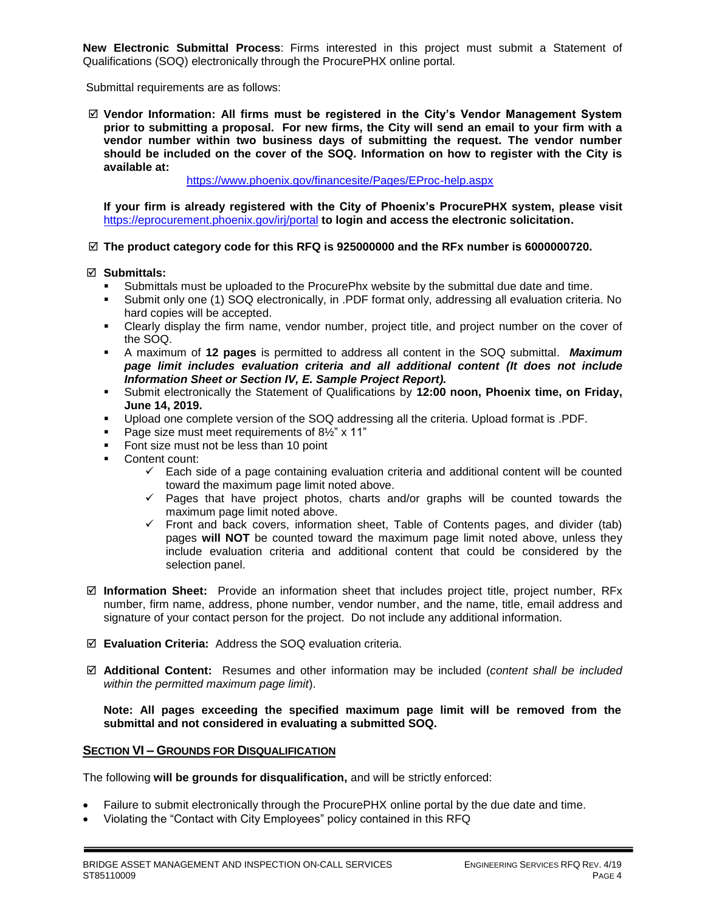**New Electronic Submittal Process**: Firms interested in this project must submit a Statement of Qualifications (SOQ) electronically through the ProcurePHX online portal.

Submittal requirements are as follows:

 **Vendor Information: All firms must be registered in the City's Vendor Management System prior to submitting a proposal. For new firms, the City will send an email to your firm with a vendor number within two business days of submitting the request. The vendor number should be included on the cover of the SOQ. Information on how to register with the City is available at:** 

<https://www.phoenix.gov/financesite/Pages/EProc-help.aspx>

**If your firm is already registered with the City of Phoenix's ProcurePHX system, please visit**  <https://eprocurement.phoenix.gov/irj/portal> **to login and access the electronic solicitation.**

#### **The product category code for this RFQ is 925000000 and the RFx number is 6000000720.**

#### **Submittals:**

- Submittals must be uploaded to the ProcurePhx website by the submittal due date and time.
- Submit only one (1) SOQ electronically, in .PDF format only, addressing all evaluation criteria. No hard copies will be accepted.
- Clearly display the firm name, vendor number, project title, and project number on the cover of the SOQ.
- A maximum of **12 pages** is permitted to address all content in the SOQ submittal. *Maximum page limit includes evaluation criteria and all additional content (It does not include Information Sheet or Section IV, E. Sample Project Report).*
- Submit electronically the Statement of Qualifications by **12:00 noon, Phoenix time, on Friday, June 14, 2019.**
- Upload one complete version of the SOQ addressing all the criteria. Upload format is .PDF.
- Page size must meet requirements of 8½" x 11"
- Font size must not be less than 10 point
- **Content count:** 
	- $\checkmark$  Each side of a page containing evaluation criteria and additional content will be counted toward the maximum page limit noted above.
	- $\checkmark$  Pages that have project photos, charts and/or graphs will be counted towards the maximum page limit noted above.
	- $\checkmark$  Front and back covers, information sheet, Table of Contents pages, and divider (tab) pages **will NOT** be counted toward the maximum page limit noted above, unless they include evaluation criteria and additional content that could be considered by the selection panel.
- **Information Sheet:** Provide an information sheet that includes project title, project number, RFx number, firm name, address, phone number, vendor number, and the name, title, email address and signature of your contact person for the project. Do not include any additional information.
- **Evaluation Criteria:** Address the SOQ evaluation criteria.
- **Additional Content:** Resumes and other information may be included (*content shall be included within the permitted maximum page limit*).

**Note: All pages exceeding the specified maximum page limit will be removed from the submittal and not considered in evaluating a submitted SOQ.** 

#### **SECTION VI – GROUNDS FOR DISQUALIFICATION**

The following **will be grounds for disqualification,** and will be strictly enforced:

- Failure to submit electronically through the ProcurePHX online portal by the due date and time.
- Violating the "Contact with City Employees" policy contained in this RFQ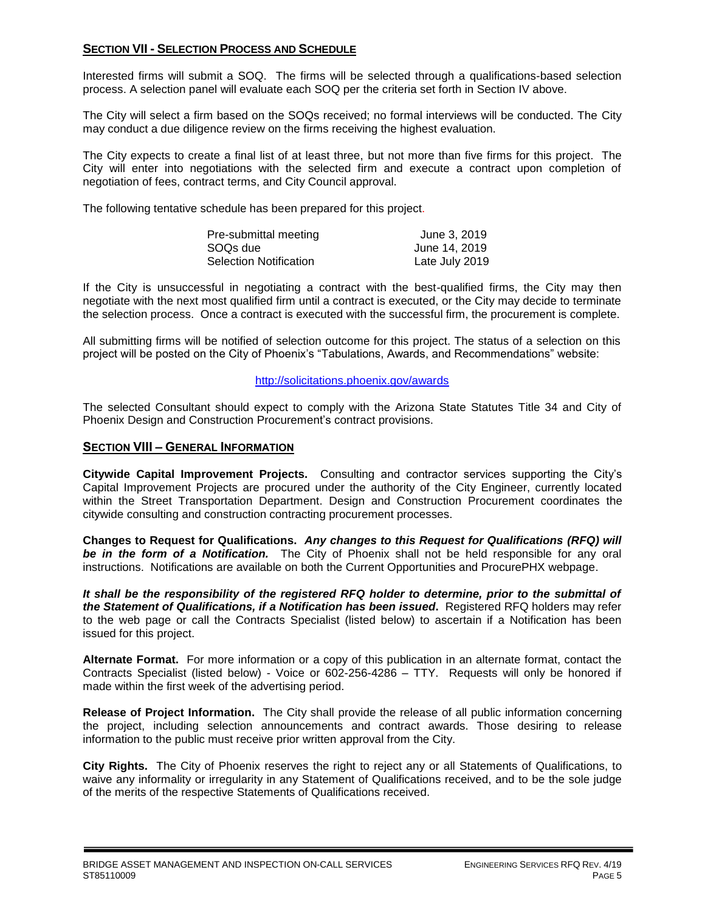#### **SECTION VII - SELECTION PROCESS AND SCHEDULE**

Interested firms will submit a SOQ. The firms will be selected through a qualifications-based selection process. A selection panel will evaluate each SOQ per the criteria set forth in Section IV above.

The City will select a firm based on the SOQs received; no formal interviews will be conducted. The City may conduct a due diligence review on the firms receiving the highest evaluation.

The City expects to create a final list of at least three, but not more than five firms for this project. The City will enter into negotiations with the selected firm and execute a contract upon completion of negotiation of fees, contract terms, and City Council approval.

The following tentative schedule has been prepared for this project.

| Pre-submittal meeting         | June 3, 2019   |
|-------------------------------|----------------|
| SOQs due                      | June 14, 2019  |
| <b>Selection Notification</b> | Late July 2019 |

If the City is unsuccessful in negotiating a contract with the best-qualified firms, the City may then negotiate with the next most qualified firm until a contract is executed, or the City may decide to terminate the selection process. Once a contract is executed with the successful firm, the procurement is complete.

All submitting firms will be notified of selection outcome for this project. The status of a selection on this project will be posted on the City of Phoenix's "Tabulations, Awards, and Recommendations" website:

#### <http://solicitations.phoenix.gov/awards>

The selected Consultant should expect to comply with the Arizona State Statutes Title 34 and City of Phoenix Design and Construction Procurement's contract provisions.

#### **SECTION VIII – GENERAL INFORMATION**

**Citywide Capital Improvement Projects.** Consulting and contractor services supporting the City's Capital Improvement Projects are procured under the authority of the City Engineer, currently located within the Street Transportation Department. Design and Construction Procurement coordinates the citywide consulting and construction contracting procurement processes.

**Changes to Request for Qualifications.** *Any changes to this Request for Qualifications (RFQ) will be in the form of a Notification.* The City of Phoenix shall not be held responsible for any oral instructions. Notifications are available on both the Current Opportunities and ProcurePHX webpage.

*It shall be the responsibility of the registered RFQ holder to determine, prior to the submittal of the Statement of Qualifications, if a Notification has been issued***.** Registered RFQ holders may refer to the web page or call the Contracts Specialist (listed below) to ascertain if a Notification has been issued for this project.

**Alternate Format.** For more information or a copy of this publication in an alternate format, contact the Contracts Specialist (listed below) - Voice or 602-256-4286 – TTY. Requests will only be honored if made within the first week of the advertising period.

**Release of Project Information.** The City shall provide the release of all public information concerning the project, including selection announcements and contract awards. Those desiring to release information to the public must receive prior written approval from the City.

**City Rights.** The City of Phoenix reserves the right to reject any or all Statements of Qualifications, to waive any informality or irregularity in any Statement of Qualifications received, and to be the sole judge of the merits of the respective Statements of Qualifications received.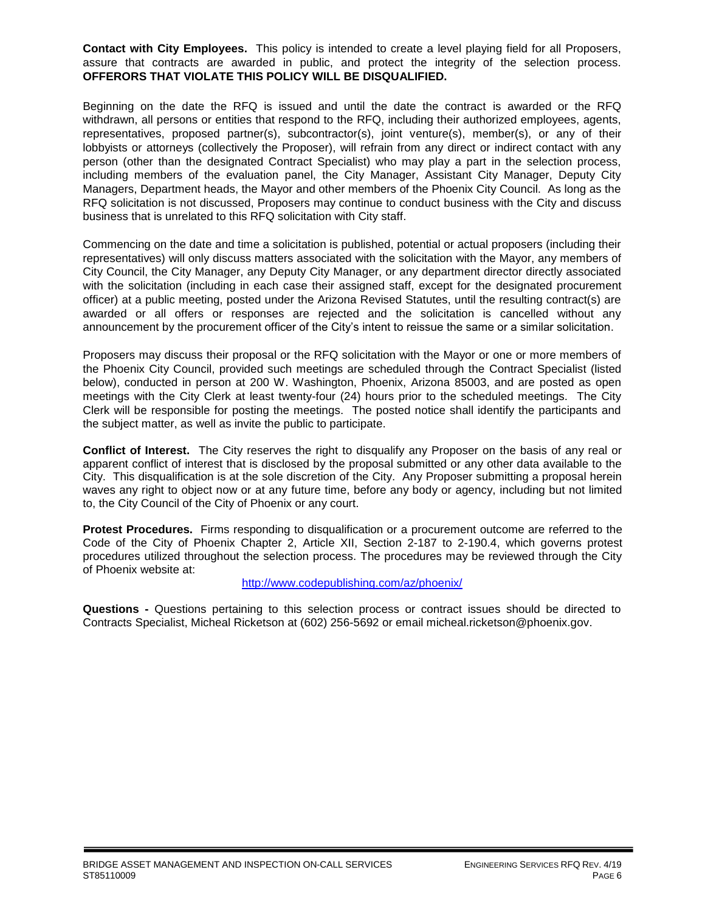**Contact with City Employees.** This policy is intended to create a level playing field for all Proposers, assure that contracts are awarded in public, and protect the integrity of the selection process. **OFFERORS THAT VIOLATE THIS POLICY WILL BE DISQUALIFIED.**

Beginning on the date the RFQ is issued and until the date the contract is awarded or the RFQ withdrawn, all persons or entities that respond to the RFQ, including their authorized employees, agents, representatives, proposed partner(s), subcontractor(s), joint venture(s), member(s), or any of their lobbyists or attorneys (collectively the Proposer), will refrain from any direct or indirect contact with any person (other than the designated Contract Specialist) who may play a part in the selection process, including members of the evaluation panel, the City Manager, Assistant City Manager, Deputy City Managers, Department heads, the Mayor and other members of the Phoenix City Council. As long as the RFQ solicitation is not discussed, Proposers may continue to conduct business with the City and discuss business that is unrelated to this RFQ solicitation with City staff.

Commencing on the date and time a solicitation is published, potential or actual proposers (including their representatives) will only discuss matters associated with the solicitation with the Mayor, any members of City Council, the City Manager, any Deputy City Manager, or any department director directly associated with the solicitation (including in each case their assigned staff, except for the designated procurement officer) at a public meeting, posted under the Arizona Revised Statutes, until the resulting contract(s) are awarded or all offers or responses are rejected and the solicitation is cancelled without any announcement by the procurement officer of the City's intent to reissue the same or a similar solicitation.

Proposers may discuss their proposal or the RFQ solicitation with the Mayor or one or more members of the Phoenix City Council, provided such meetings are scheduled through the Contract Specialist (listed below), conducted in person at 200 W. Washington, Phoenix, Arizona 85003, and are posted as open meetings with the City Clerk at least twenty-four (24) hours prior to the scheduled meetings. The City Clerk will be responsible for posting the meetings. The posted notice shall identify the participants and the subject matter, as well as invite the public to participate.

**Conflict of Interest.** The City reserves the right to disqualify any Proposer on the basis of any real or apparent conflict of interest that is disclosed by the proposal submitted or any other data available to the City. This disqualification is at the sole discretion of the City. Any Proposer submitting a proposal herein waves any right to object now or at any future time, before any body or agency, including but not limited to, the City Council of the City of Phoenix or any court.

**Protest Procedures.** Firms responding to disqualification or a procurement outcome are referred to the Code of the City of Phoenix Chapter 2, Article XII, Section 2-187 to 2-190.4, which governs protest procedures utilized throughout the selection process. The procedures may be reviewed through the City of Phoenix website at:

#### <http://www.codepublishing.com/az/phoenix/>

**Questions -** Questions pertaining to this selection process or contract issues should be directed to Contracts Specialist, Micheal Ricketson at (602) 256-5692 or email micheal.ricketson@phoenix.gov.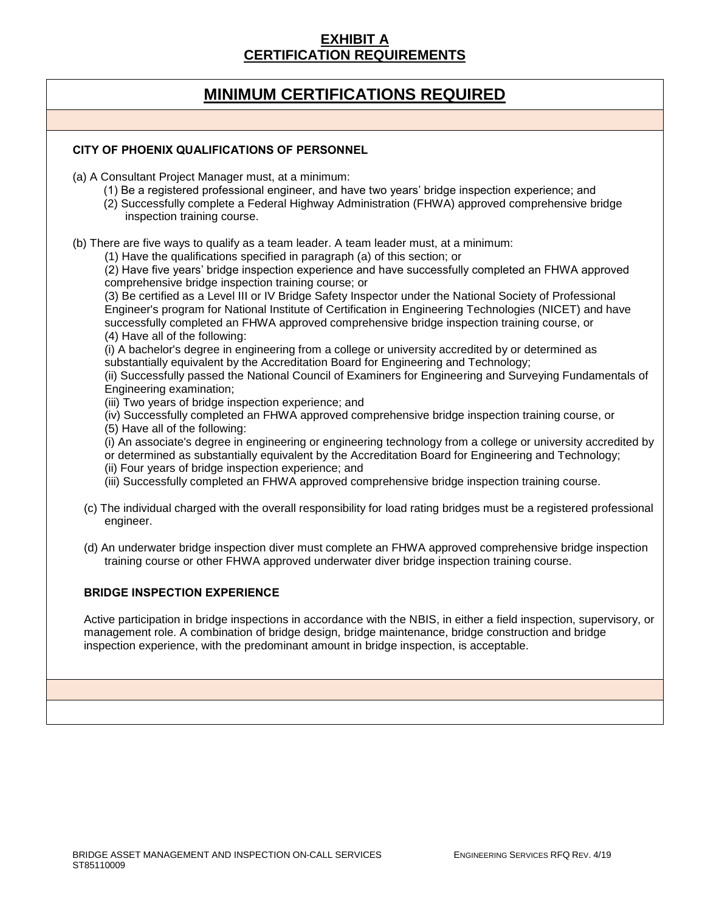### **EXHIBIT A CERTIFICATION REQUIREMENTS**

# **MINIMUM CERTIFICATIONS REQUIRED**

#### **CITY OF PHOENIX QUALIFICATIONS OF PERSONNEL**

(a) A Consultant Project Manager must, at a minimum:

- (1) Be a registered professional engineer, and have two years' bridge inspection experience; and
- (2) Successfully complete a Federal Highway Administration (FHWA) approved comprehensive bridge inspection training course.

(b) There are five ways to qualify as a team leader. A team leader must, at a minimum:

(1) Have the qualifications specified in paragraph (a) of this section; or

(2) Have five years' bridge inspection experience and have successfully completed an FHWA approved comprehensive bridge inspection training course; or

(3) Be certified as a Level III or IV Bridge Safety Inspector under the National Society of Professional Engineer's program for National Institute of Certification in Engineering Technologies (NICET) and have successfully completed an FHWA approved comprehensive bridge inspection training course, or (4) Have all of the following:

(i) A bachelor's degree in engineering from a college or university accredited by or determined as substantially equivalent by the Accreditation Board for Engineering and Technology;

(ii) Successfully passed the National Council of Examiners for Engineering and Surveying Fundamentals of Engineering examination;

(iii) Two years of bridge inspection experience; and

(iv) Successfully completed an FHWA approved comprehensive bridge inspection training course, or

(5) Have all of the following:

(i) An associate's degree in engineering or engineering technology from a college or university accredited by

or determined as substantially equivalent by the Accreditation Board for Engineering and Technology;

- (ii) Four years of bridge inspection experience; and
- (iii) Successfully completed an FHWA approved comprehensive bridge inspection training course.
- (c) The individual charged with the overall responsibility for load rating bridges must be a registered professional engineer.
- (d) An underwater bridge inspection diver must complete an FHWA approved comprehensive bridge inspection training course or other FHWA approved underwater diver bridge inspection training course.

#### **BRIDGE INSPECTION EXPERIENCE**

Active participation in bridge inspections in accordance with the NBIS, in either a field inspection, supervisory, or management role. A combination of bridge design, bridge maintenance, bridge construction and bridge inspection experience, with the predominant amount in bridge inspection, is acceptable.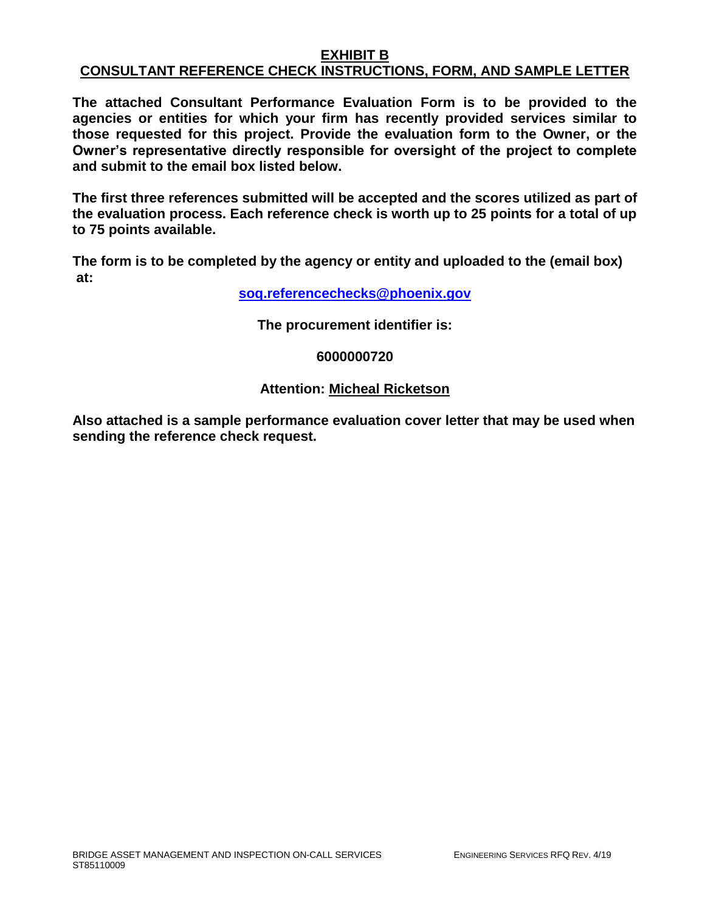### **EXHIBIT B CONSULTANT REFERENCE CHECK INSTRUCTIONS, FORM, AND SAMPLE LETTER**

**The attached Consultant Performance Evaluation Form is to be provided to the agencies or entities for which your firm has recently provided services similar to those requested for this project. Provide the evaluation form to the Owner, or the Owner's representative directly responsible for oversight of the project to complete and submit to the email box listed below.**

**The first three references submitted will be accepted and the scores utilized as part of the evaluation process. Each reference check is worth up to 25 points for a total of up to 75 points available.**

**The form is to be completed by the agency or entity and uploaded to the (email box) at:** 

**[soq.referencechecks@phoenix.gov](mailto:soq.referencechecks@phoenix.gov)**

**The procurement identifier is:**

### **6000000720**

### **Attention: Micheal Ricketson**

**Also attached is a sample performance evaluation cover letter that may be used when sending the reference check request.**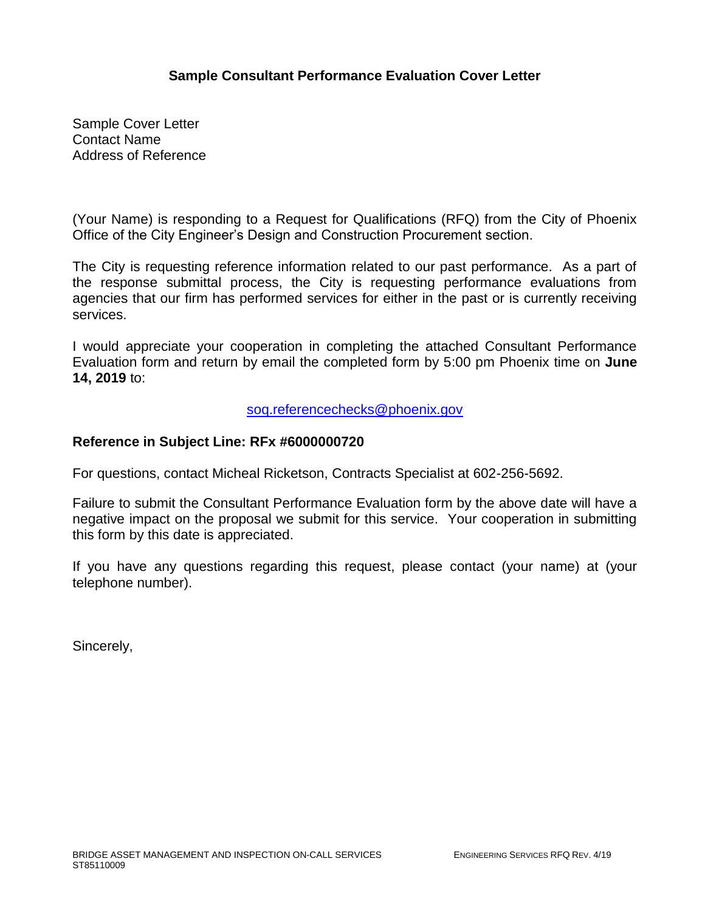### **Sample Consultant Performance Evaluation Cover Letter**

Sample Cover Letter Contact Name Address of Reference

(Your Name) is responding to a Request for Qualifications (RFQ) from the City of Phoenix Office of the City Engineer's Design and Construction Procurement section.

The City is requesting reference information related to our past performance. As a part of the response submittal process, the City is requesting performance evaluations from agencies that our firm has performed services for either in the past or is currently receiving services.

I would appreciate your cooperation in completing the attached Consultant Performance Evaluation form and return by email the completed form by 5:00 pm Phoenix time on **June 14, 2019** to:

[soq.referencechecks@phoenix.gov](mailto:soq.referencechecks@phoenix.gov)

### **Reference in Subject Line: RFx #6000000720**

For questions, contact Micheal Ricketson, Contracts Specialist at 602-256-5692.

Failure to submit the Consultant Performance Evaluation form by the above date will have a negative impact on the proposal we submit for this service. Your cooperation in submitting this form by this date is appreciated.

If you have any questions regarding this request, please contact (your name) at (your telephone number).

Sincerely,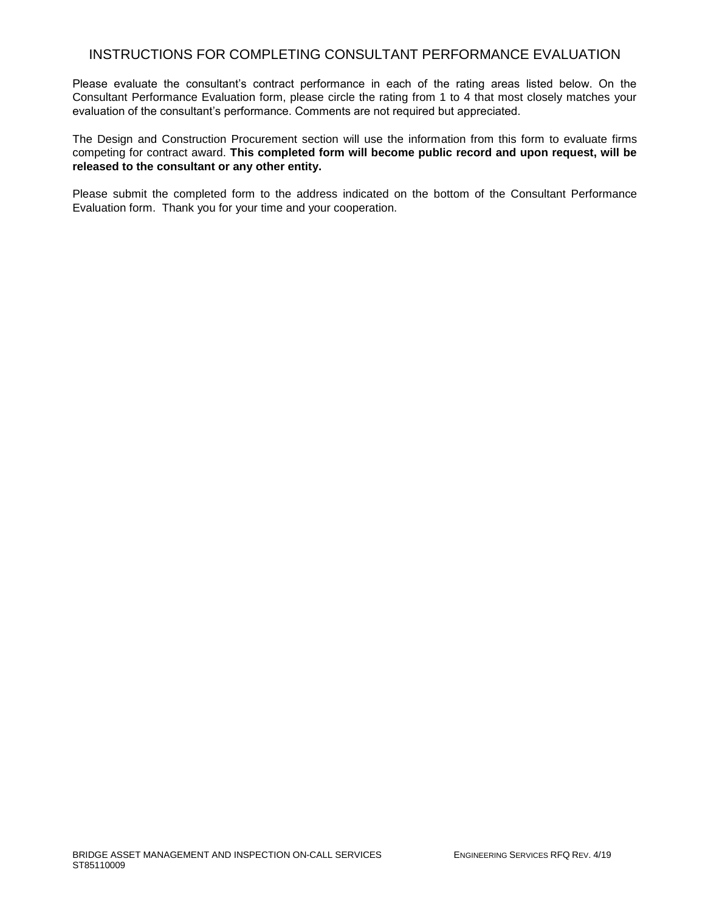### INSTRUCTIONS FOR COMPLETING CONSULTANT PERFORMANCE EVALUATION

Please evaluate the consultant's contract performance in each of the rating areas listed below. On the Consultant Performance Evaluation form, please circle the rating from 1 to 4 that most closely matches your evaluation of the consultant's performance. Comments are not required but appreciated.

The Design and Construction Procurement section will use the information from this form to evaluate firms competing for contract award. **This completed form will become public record and upon request, will be released to the consultant or any other entity.**

Please submit the completed form to the address indicated on the bottom of the Consultant Performance Evaluation form. Thank you for your time and your cooperation.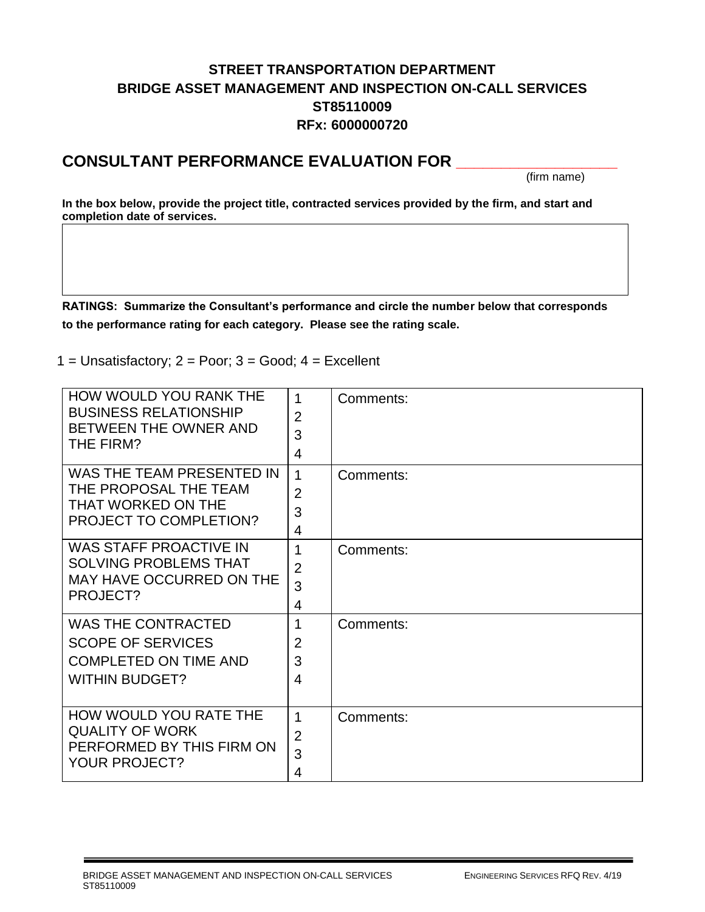# **STREET TRANSPORTATION DEPARTMENT BRIDGE ASSET MANAGEMENT AND INSPECTION ON-CALL SERVICES ST85110009 RFx: 6000000720**

# **CONSULTANT PERFORMANCE EVALUATION FOR \_\_\_\_\_\_\_\_\_\_\_\_\_\_\_\_\_\_**

(firm name)

**In the box below, provide the project title, contracted services provided by the firm, and start and completion date of services.**

**RATINGS: Summarize the Consultant's performance and circle the number below that corresponds to the performance rating for each category. Please see the rating scale.**

1 = Unsatisfactory;  $2 = P$ oor;  $3 = Good$ ;  $4 = Excell$ ent

| HOW WOULD YOU RANK THE<br><b>BUSINESS RELATIONSHIP</b><br>BETWEEN THE OWNER AND<br>THE FIRM?                   | 1<br>$\overline{2}$<br>3<br>$\overline{4}$            | Comments: |
|----------------------------------------------------------------------------------------------------------------|-------------------------------------------------------|-----------|
| WAS THE TEAM PRESENTED IN<br>THE PROPOSAL THE TEAM<br>THAT WORKED ON THE<br>PROJECT TO COMPLETION?             | $\mathbf{1}$<br>$\overline{2}$<br>3<br>$\overline{4}$ | Comments: |
| <b>WAS STAFF PROACTIVE IN</b><br><b>SOLVING PROBLEMS THAT</b><br>MAY HAVE OCCURRED ON THE<br>PROJECT?          | 1<br>$\overline{2}$<br>3<br>4                         | Comments: |
| <b>WAS THE CONTRACTED</b><br><b>SCOPE OF SERVICES</b><br><b>COMPLETED ON TIME AND</b><br><b>WITHIN BUDGET?</b> | 1<br>$\overline{2}$<br>3<br>$\overline{4}$            | Comments: |
| HOW WOULD YOU RATE THE<br><b>QUALITY OF WORK</b><br>PERFORMED BY THIS FIRM ON<br><b>YOUR PROJECT?</b>          | 1<br>$\overline{2}$<br>3<br>4                         | Comments: |